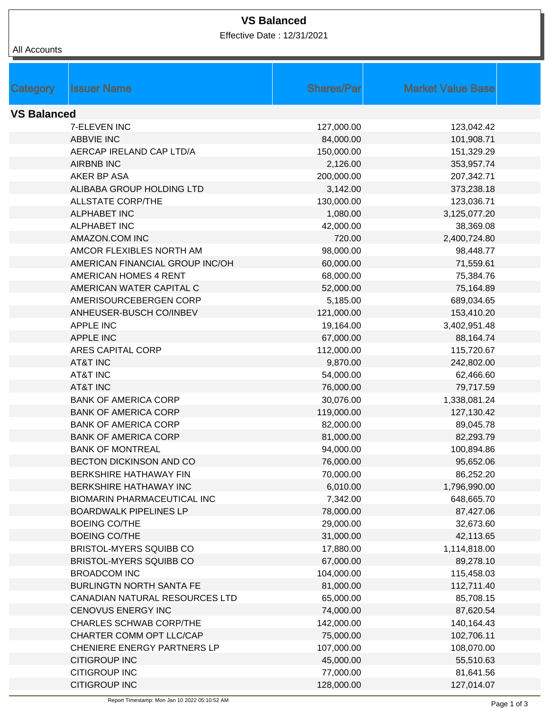| All Accounts       |                                    |                    |                          |
|--------------------|------------------------------------|--------------------|--------------------------|
|                    |                                    |                    |                          |
|                    |                                    |                    |                          |
| Category           | <b>Issuer Name</b>                 | <b>Shares/Parl</b> | <b>Market Value Base</b> |
|                    |                                    |                    |                          |
| <b>VS Balanced</b> |                                    |                    |                          |
|                    | 7-ELEVEN INC                       | 127,000.00         | 123,042.42               |
|                    | <b>ABBVIE INC</b>                  | 84,000.00          | 101,908.71               |
|                    | AERCAP IRELAND CAP LTD/A           | 150,000.00         | 151,329.29               |
|                    | <b>AIRBNB INC</b>                  | 2,126.00           | 353,957.74               |
|                    | AKER BP ASA                        | 200,000.00         | 207,342.71               |
|                    | ALIBABA GROUP HOLDING LTD          | 3,142.00           | 373,238.18               |
|                    | <b>ALLSTATE CORP/THE</b>           | 130,000.00         | 123,036.71               |
|                    | <b>ALPHABET INC</b>                | 1,080.00           | 3,125,077.20             |
|                    | <b>ALPHABET INC</b>                | 42,000.00          | 38,369.08                |
|                    | AMAZON.COM INC                     | 720.00             | 2,400,724.80             |
|                    | AMCOR FLEXIBLES NORTH AM           | 98,000.00          | 98,448.77                |
|                    | AMERICAN FINANCIAL GROUP INC/OH    | 60,000.00          | 71,559.61                |
|                    | <b>AMERICAN HOMES 4 RENT</b>       | 68,000.00          | 75,384.76                |
|                    | AMERICAN WATER CAPITAL C           | 52,000.00          | 75,164.89                |
|                    | AMERISOURCEBERGEN CORP             | 5,185.00           | 689,034.65               |
|                    | ANHEUSER-BUSCH CO/INBEV            | 121,000.00         | 153,410.20               |
|                    | <b>APPLE INC</b>                   | 19,164.00          | 3,402,951.48             |
|                    | <b>APPLE INC</b>                   | 67,000.00          | 88,164.74                |
|                    | <b>ARES CAPITAL CORP</b>           | 112,000.00         | 115,720.67               |
|                    | <b>AT&amp;T INC</b>                | 9,870.00           | 242,802.00               |
|                    | <b>AT&amp;T INC</b>                | 54,000.00          | 62,466.60                |
|                    | <b>AT&amp;T INC</b>                | 76,000.00          | 79,717.59                |
|                    | <b>BANK OF AMERICA CORP</b>        | 30,076.00          | 1,338,081.24             |
|                    | <b>BANK OF AMERICA CORP</b>        | 119,000.00         | 127,130.42               |
|                    | <b>BANK OF AMERICA CORP</b>        | 82,000.00          | 89,045.78                |
|                    | <b>BANK OF AMERICA CORP</b>        | 81,000.00          | 82,293.79                |
|                    | <b>BANK OF MONTREAL</b>            | 94,000.00          | 100,894.86               |
|                    | BECTON DICKINSON AND CO            | 76,000.00          | 95,652.06                |
|                    | BERKSHIRE HATHAWAY FIN             | 70,000.00          | 86,252.20                |
|                    | BERKSHIRE HATHAWAY INC             | 6,010.00           | 1,796,990.00             |
|                    | <b>BIOMARIN PHARMACEUTICAL INC</b> | 7,342.00           | 648,665.70               |
|                    | <b>BOARDWALK PIPELINES LP</b>      | 78,000.00          | 87,427.06                |
|                    | <b>BOEING CO/THE</b>               | 29,000.00          | 32,673.60                |
|                    | <b>BOEING CO/THE</b>               | 31,000.00          | 42,113.65                |
|                    | BRISTOL-MYERS SQUIBB CO            | 17,880.00          | 1,114,818.00             |
|                    | BRISTOL-MYERS SQUIBB CO            | 67,000.00          | 89,278.10                |
|                    | <b>BROADCOM INC</b>                | 104,000.00         | 115,458.03               |
|                    | <b>BURLINGTN NORTH SANTA FE</b>    | 81,000.00          | 112,711.40               |
|                    | CANADIAN NATURAL RESOURCES LTD     | 65,000.00          | 85,708.15                |
|                    | <b>CENOVUS ENERGY INC</b>          | 74,000.00          | 87,620.54                |
|                    | <b>CHARLES SCHWAB CORP/THE</b>     | 142,000.00         | 140,164.43               |
|                    | CHARTER COMM OPT LLC/CAP           | 75,000.00          | 102,706.11               |
|                    | <b>CHENIERE ENERGY PARTNERS LP</b> | 107,000.00         | 108,070.00               |
|                    | <b>CITIGROUP INC</b>               | 45,000.00          | 55,510.63                |
|                    | <b>CITIGROUP INC</b>               | 77,000.00          | 81,641.56                |
|                    | <b>CITIGROUP INC</b>               | 128,000.00         | 127,014.07               |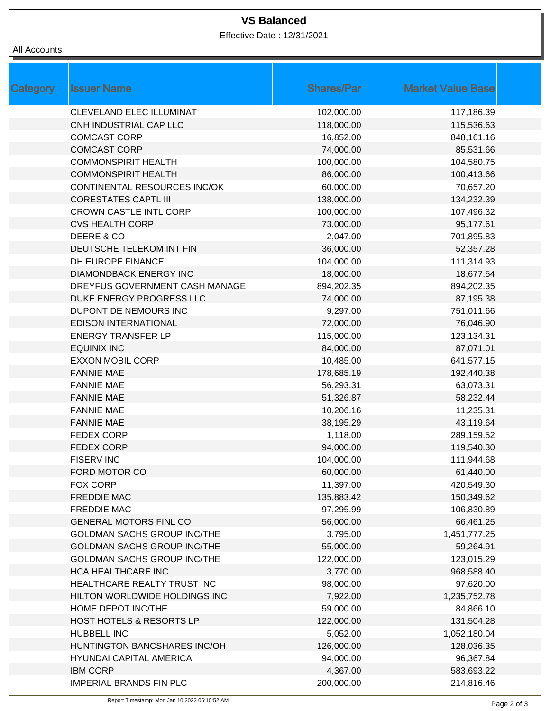| All Accounts |
|--------------|
|              |

|            | <b>Market Value Base</b> |  |
|------------|--------------------------|--|
| 102,000.00 | 117,186.39               |  |
| 118,000.00 | 115,536.63               |  |
| 16,852.00  | 848,161.16               |  |
| 74,000.00  | 85,531.66                |  |
| 100,000.00 | 104,580.75               |  |
| 86,000.00  | 100,413.66               |  |
| 60,000.00  | 70,657.20                |  |
| 138,000.00 | 134,232.39               |  |
| 100,000.00 | 107,496.32               |  |
| 73,000.00  | 95,177.61                |  |
| 2,047.00   | 701,895.83               |  |
| 36,000.00  | 52,357.28                |  |
| 104,000.00 | 111,314.93               |  |
| 18,000.00  | 18,677.54                |  |
| 894,202.35 | 894,202.35               |  |
| 74,000.00  | 87,195.38                |  |
| 9,297.00   | 751,011.66               |  |
| 72,000.00  | 76,046.90                |  |
| 115,000.00 | 123,134.31               |  |
| 84,000.00  | 87,071.01                |  |
| 10,485.00  | 641,577.15               |  |
| 178,685.19 | 192,440.38               |  |
| 56,293.31  | 63,073.31                |  |
| 51,326.87  | 58,232.44                |  |
| 10,206.16  | 11,235.31                |  |
| 38,195.29  | 43,119.64                |  |
| 1,118.00   | 289,159.52               |  |
| 94,000.00  | 119,540.30               |  |
| 104,000.00 | 111,944.68               |  |
| 60,000.00  | 61,440.00                |  |
| 11,397.00  | 420,549.30               |  |
| 135,883.42 | 150,349.62               |  |
| 97,295.99  | 106,830.89               |  |
| 56,000.00  | 66,461.25                |  |
| 3,795.00   | 1,451,777.25             |  |
| 55,000.00  | 59,264.91                |  |
| 122,000.00 | 123,015.29               |  |
| 3,770.00   | 968,588.40               |  |
| 98,000.00  | 97,620.00                |  |
| 7,922.00   | 1,235,752.78             |  |
| 59,000.00  | 84,866.10                |  |
| 122,000.00 | 131,504.28               |  |
| 5,052.00   | 1,052,180.04             |  |
| 126,000.00 | 128,036.35               |  |
| 94,000.00  | 96,367.84                |  |
| 4,367.00   | 583,693.22               |  |
| 200,000.00 | 214,816.46               |  |
|            | <b>Shares/Par</b>        |  |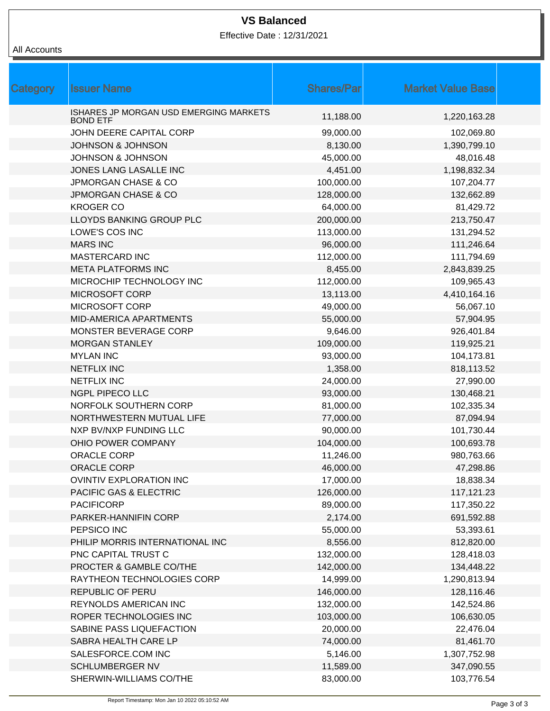| All Accounts |
|--------------|
|              |

| <b>Category</b> | <b>Issuer Name</b>                                        | <b>Shares/Parl</b> | <b>Market Value Base</b> |  |
|-----------------|-----------------------------------------------------------|--------------------|--------------------------|--|
|                 | ISHARES JP MORGAN USD EMERGING MARKETS<br><b>BOND ETF</b> | 11,188.00          | 1,220,163.28             |  |
|                 | JOHN DEERE CAPITAL CORP                                   | 99,000.00          | 102,069.80               |  |
|                 | <b>JOHNSON &amp; JOHNSON</b>                              | 8,130.00           | 1,390,799.10             |  |
|                 | <b>JOHNSON &amp; JOHNSON</b>                              | 45,000.00          | 48,016.48                |  |
|                 | JONES LANG LASALLE INC                                    | 4,451.00           | 1,198,832.34             |  |
|                 | <b>JPMORGAN CHASE &amp; CO</b>                            | 100,000.00         | 107,204.77               |  |
|                 | <b>JPMORGAN CHASE &amp; CO</b>                            | 128,000.00         | 132,662.89               |  |
|                 | <b>KROGER CO</b>                                          | 64,000.00          | 81,429.72                |  |
|                 | LLOYDS BANKING GROUP PLC                                  | 200,000.00         | 213,750.47               |  |
|                 | LOWE'S COS INC                                            | 113,000.00         | 131,294.52               |  |
|                 | <b>MARS INC</b>                                           | 96,000.00          | 111,246.64               |  |
|                 | MASTERCARD INC                                            | 112,000.00         | 111,794.69               |  |
|                 | <b>META PLATFORMS INC</b>                                 | 8,455.00           | 2,843,839.25             |  |
|                 | MICROCHIP TECHNOLOGY INC                                  | 112,000.00         | 109,965.43               |  |
|                 | <b>MICROSOFT CORP</b>                                     | 13,113.00          | 4,410,164.16             |  |
|                 | MICROSOFT CORP                                            | 49,000.00          | 56,067.10                |  |
|                 | MID-AMERICA APARTMENTS                                    | 55,000.00          | 57,904.95                |  |
|                 | MONSTER BEVERAGE CORP                                     | 9,646.00           | 926,401.84               |  |
|                 | <b>MORGAN STANLEY</b>                                     | 109,000.00         | 119,925.21               |  |
|                 | <b>MYLAN INC</b>                                          | 93,000.00          | 104,173.81               |  |
|                 | <b>NETFLIX INC</b>                                        | 1,358.00           | 818,113.52               |  |
|                 | <b>NETFLIX INC</b>                                        | 24,000.00          | 27,990.00                |  |
|                 | NGPL PIPECO LLC                                           | 93,000.00          | 130,468.21               |  |
|                 | NORFOLK SOUTHERN CORP                                     | 81,000.00          | 102,335.34               |  |
|                 | NORTHWESTERN MUTUAL LIFE                                  | 77,000.00          | 87,094.94                |  |
|                 | NXP BV/NXP FUNDING LLC                                    | 90,000.00          | 101,730.44               |  |
|                 | OHIO POWER COMPANY                                        | 104,000.00         | 100,693.78               |  |
|                 | ORACLE CORP                                               | 11,246.00          | 980,763.66               |  |
|                 | ORACLE CORP                                               | 46,000.00          | 47,298.86                |  |
|                 | <b>OVINTIV EXPLORATION INC</b>                            | 17,000.00          | 18,838.34                |  |
|                 | <b>PACIFIC GAS &amp; ELECTRIC</b>                         | 126,000.00         | 117,121.23               |  |
|                 | <b>PACIFICORP</b>                                         | 89,000.00          | 117,350.22               |  |
|                 | PARKER-HANNIFIN CORP                                      | 2,174.00           | 691,592.88               |  |
|                 | PEPSICO INC                                               | 55,000.00          | 53,393.61                |  |
|                 | PHILIP MORRIS INTERNATIONAL INC                           | 8,556.00           | 812,820.00               |  |
|                 | PNC CAPITAL TRUST C                                       | 132,000.00         | 128,418.03               |  |
|                 | PROCTER & GAMBLE CO/THE                                   | 142,000.00         | 134,448.22               |  |
|                 | RAYTHEON TECHNOLOGIES CORP                                | 14,999.00          | 1,290,813.94             |  |
|                 | <b>REPUBLIC OF PERU</b>                                   | 146,000.00         | 128,116.46               |  |
|                 | REYNOLDS AMERICAN INC                                     | 132,000.00         | 142,524.86               |  |
|                 | ROPER TECHNOLOGIES INC                                    | 103,000.00         | 106,630.05               |  |
|                 | SABINE PASS LIQUEFACTION                                  | 20,000.00          | 22,476.04                |  |
|                 | SABRA HEALTH CARE LP                                      | 74,000.00          | 81,461.70                |  |
|                 | SALESFORCE.COM INC                                        | 5,146.00           | 1,307,752.98             |  |
|                 | <b>SCHLUMBERGER NV</b>                                    | 11,589.00          | 347,090.55               |  |
|                 | SHERWIN-WILLIAMS CO/THE                                   | 83,000.00          | 103,776.54               |  |